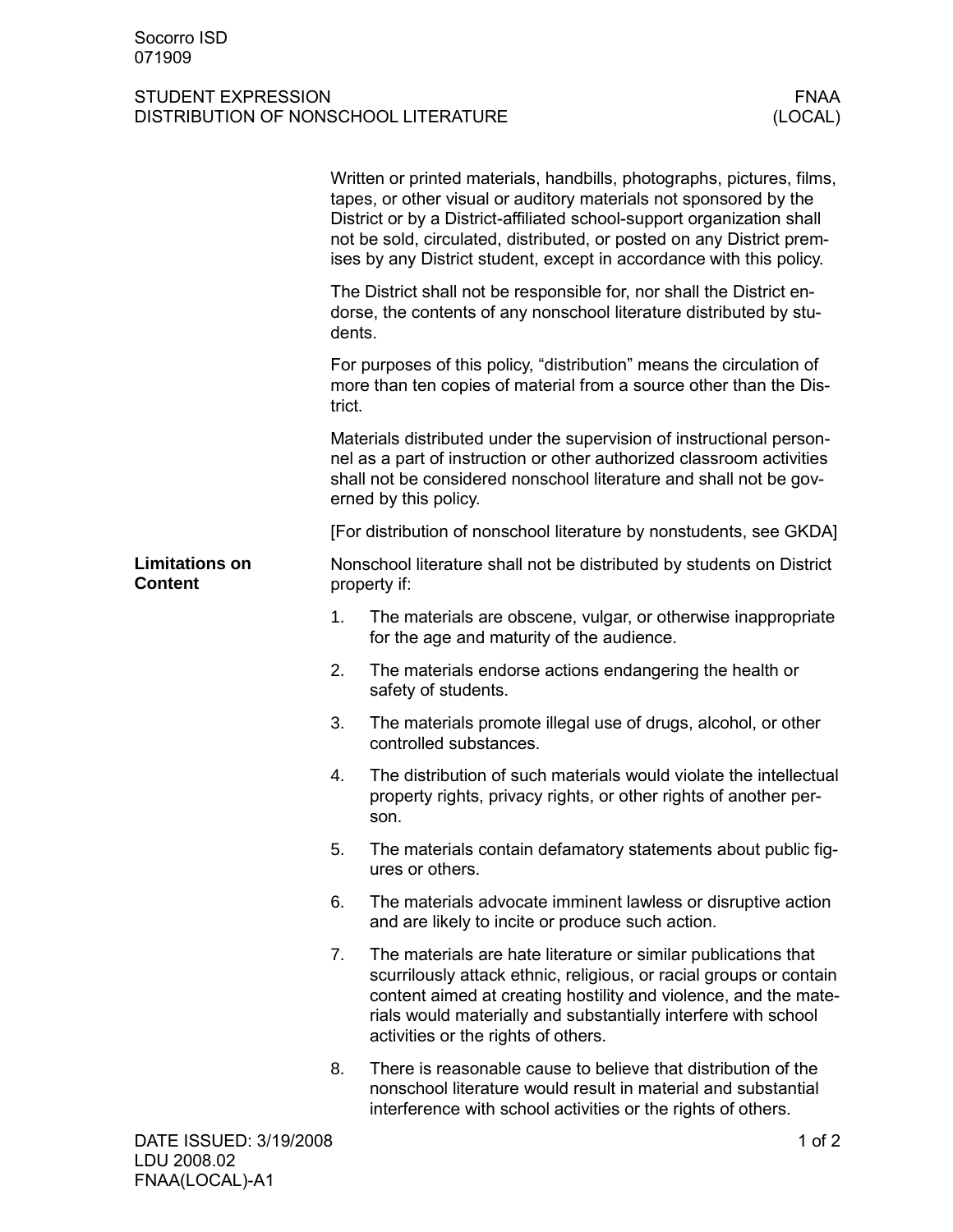## STUDENT EXPRESSION<br>DISTRIBUTION OF NONSCHOOL LITERATURE (LOCAL) DISTRIBUTION OF NONSCHOOL LITERATURE

|                                         | Written or printed materials, handbills, photographs, pictures, films,<br>tapes, or other visual or auditory materials not sponsored by the<br>District or by a District-affiliated school-support organization shall<br>not be sold, circulated, distributed, or posted on any District prem-<br>ises by any District student, except in accordance with this policy. |                                                                                                                                                                                                                                                                                                                  |  |
|-----------------------------------------|------------------------------------------------------------------------------------------------------------------------------------------------------------------------------------------------------------------------------------------------------------------------------------------------------------------------------------------------------------------------|------------------------------------------------------------------------------------------------------------------------------------------------------------------------------------------------------------------------------------------------------------------------------------------------------------------|--|
|                                         | The District shall not be responsible for, nor shall the District en-<br>dorse, the contents of any nonschool literature distributed by stu-<br>dents.                                                                                                                                                                                                                 |                                                                                                                                                                                                                                                                                                                  |  |
|                                         | For purposes of this policy, "distribution" means the circulation of<br>more than ten copies of material from a source other than the Dis-<br>trict.                                                                                                                                                                                                                   |                                                                                                                                                                                                                                                                                                                  |  |
|                                         | Materials distributed under the supervision of instructional person-<br>nel as a part of instruction or other authorized classroom activities<br>shall not be considered nonschool literature and shall not be gov-<br>erned by this policy.                                                                                                                           |                                                                                                                                                                                                                                                                                                                  |  |
|                                         |                                                                                                                                                                                                                                                                                                                                                                        | [For distribution of nonschool literature by nonstudents, see GKDA]                                                                                                                                                                                                                                              |  |
| <b>Limitations on</b><br><b>Content</b> | Nonschool literature shall not be distributed by students on District<br>property if:                                                                                                                                                                                                                                                                                  |                                                                                                                                                                                                                                                                                                                  |  |
|                                         | 1.                                                                                                                                                                                                                                                                                                                                                                     | The materials are obscene, vulgar, or otherwise inappropriate<br>for the age and maturity of the audience.                                                                                                                                                                                                       |  |
|                                         | 2.                                                                                                                                                                                                                                                                                                                                                                     | The materials endorse actions endangering the health or<br>safety of students.                                                                                                                                                                                                                                   |  |
|                                         | 3.                                                                                                                                                                                                                                                                                                                                                                     | The materials promote illegal use of drugs, alcohol, or other<br>controlled substances.                                                                                                                                                                                                                          |  |
|                                         | 4.                                                                                                                                                                                                                                                                                                                                                                     | The distribution of such materials would violate the intellectual<br>property rights, privacy rights, or other rights of another per-<br>son.                                                                                                                                                                    |  |
|                                         | 5.                                                                                                                                                                                                                                                                                                                                                                     | The materials contain defamatory statements about public fig-<br>ures or others.                                                                                                                                                                                                                                 |  |
|                                         | 6.                                                                                                                                                                                                                                                                                                                                                                     | The materials advocate imminent lawless or disruptive action<br>and are likely to incite or produce such action.                                                                                                                                                                                                 |  |
|                                         | 7.                                                                                                                                                                                                                                                                                                                                                                     | The materials are hate literature or similar publications that<br>scurrilously attack ethnic, religious, or racial groups or contain<br>content aimed at creating hostility and violence, and the mate-<br>rials would materially and substantially interfere with school<br>activities or the rights of others. |  |
|                                         | 8.                                                                                                                                                                                                                                                                                                                                                                     | There is reasonable cause to believe that distribution of the<br>nonschool literature would result in material and substantial<br>interference with school activities or the rights of others.                                                                                                                   |  |
| DATE ISSUED: 3/19/2008                  |                                                                                                                                                                                                                                                                                                                                                                        | 1 of $2$                                                                                                                                                                                                                                                                                                         |  |